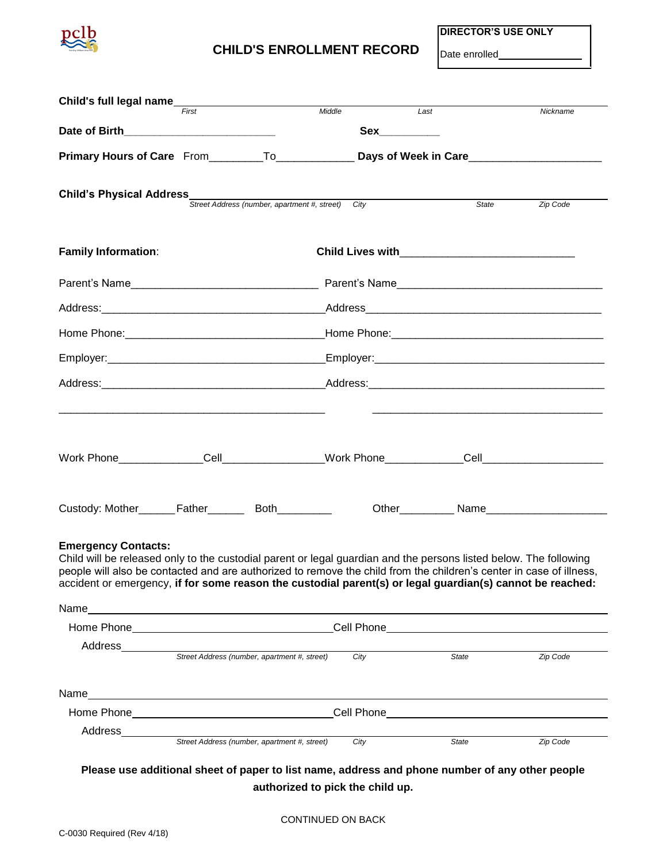

## **CHILD'S ENROLLMENT RECORD Date enrolled**

**DIRECTOR'S USE ONLY**

| Child's full legal name                                                                                                                                                                                                                                                                                                                                                                     | First |                                                                                   | Middle                                                                                                         |                | $\overline{L}$ ast                                                                                               | Nickname |  |  |
|---------------------------------------------------------------------------------------------------------------------------------------------------------------------------------------------------------------------------------------------------------------------------------------------------------------------------------------------------------------------------------------------|-------|-----------------------------------------------------------------------------------|----------------------------------------------------------------------------------------------------------------|----------------|------------------------------------------------------------------------------------------------------------------|----------|--|--|
|                                                                                                                                                                                                                                                                                                                                                                                             |       |                                                                                   |                                                                                                                | Sex___________ |                                                                                                                  |          |  |  |
|                                                                                                                                                                                                                                                                                                                                                                                             |       |                                                                                   | Primary Hours of Care From _________To______________________Days of Week in Care______________________________ |                |                                                                                                                  |          |  |  |
| <b>Child's Physical Address</b><br>Street Address (number, apartment #, street) City                                                                                                                                                                                                                                                                                                        |       |                                                                                   |                                                                                                                |                | State                                                                                                            | Zip Code |  |  |
|                                                                                                                                                                                                                                                                                                                                                                                             |       |                                                                                   |                                                                                                                |                |                                                                                                                  |          |  |  |
| <b>Family Information:</b>                                                                                                                                                                                                                                                                                                                                                                  |       |                                                                                   |                                                                                                                |                |                                                                                                                  |          |  |  |
|                                                                                                                                                                                                                                                                                                                                                                                             |       |                                                                                   |                                                                                                                |                |                                                                                                                  |          |  |  |
|                                                                                                                                                                                                                                                                                                                                                                                             |       |                                                                                   |                                                                                                                |                |                                                                                                                  |          |  |  |
|                                                                                                                                                                                                                                                                                                                                                                                             |       |                                                                                   |                                                                                                                |                |                                                                                                                  |          |  |  |
|                                                                                                                                                                                                                                                                                                                                                                                             |       |                                                                                   |                                                                                                                |                |                                                                                                                  |          |  |  |
|                                                                                                                                                                                                                                                                                                                                                                                             |       |                                                                                   |                                                                                                                |                |                                                                                                                  |          |  |  |
|                                                                                                                                                                                                                                                                                                                                                                                             |       |                                                                                   |                                                                                                                |                |                                                                                                                  |          |  |  |
|                                                                                                                                                                                                                                                                                                                                                                                             |       |                                                                                   |                                                                                                                |                |                                                                                                                  |          |  |  |
| <b>Emergency Contacts:</b><br>Child will be released only to the custodial parent or legal guardian and the persons listed below. The following<br>people will also be contacted and are authorized to remove the child from the children's center in case of illness,<br>accident or emergency, if for some reason the custodial parent(s) or legal guardian(s) cannot be reached:<br>Name |       |                                                                                   |                                                                                                                |                | and the control of the control of the control of the control of the control of the control of the control of the |          |  |  |
|                                                                                                                                                                                                                                                                                                                                                                                             |       | Home Phone___________________________________Cell Phone__________________________ |                                                                                                                |                |                                                                                                                  |          |  |  |
| Address_________                                                                                                                                                                                                                                                                                                                                                                            |       | Street Address (number, apartment #, street)                                      |                                                                                                                | City           | State                                                                                                            | Zip Code |  |  |
|                                                                                                                                                                                                                                                                                                                                                                                             |       |                                                                                   |                                                                                                                |                |                                                                                                                  |          |  |  |
|                                                                                                                                                                                                                                                                                                                                                                                             |       |                                                                                   |                                                                                                                |                |                                                                                                                  |          |  |  |
|                                                                                                                                                                                                                                                                                                                                                                                             |       |                                                                                   |                                                                                                                |                |                                                                                                                  |          |  |  |
| Address_________                                                                                                                                                                                                                                                                                                                                                                            |       | Street Address (number, apartment #, street)                                      |                                                                                                                | City           | State                                                                                                            | Zip Code |  |  |

**authorized to pick the child up.**